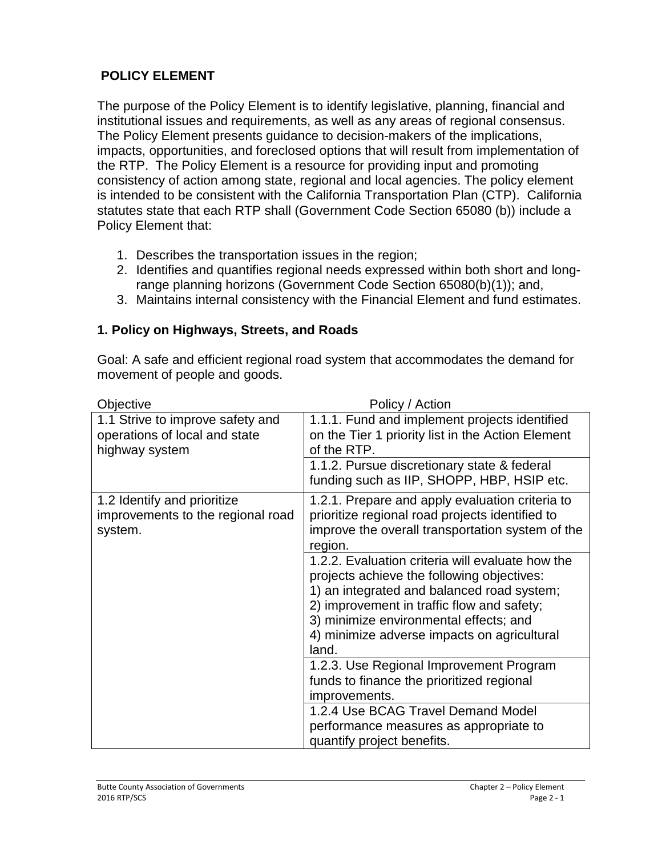## **POLICY ELEMENT**

The purpose of the Policy Element is to identify legislative, planning, financial and institutional issues and requirements, as well as any areas of regional consensus. The Policy Element presents guidance to decision-makers of the implications, impacts, opportunities, and foreclosed options that will result from implementation of the RTP. The Policy Element is a resource for providing input and promoting consistency of action among state, regional and local agencies. The policy element is intended to be consistent with the California Transportation Plan (CTP). California statutes state that each RTP shall (Government Code Section 65080 (b)) include a Policy Element that:

- 1. Describes the transportation issues in the region;
- 2. Identifies and quantifies regional needs expressed within both short and longrange planning horizons (Government Code Section 65080(b)(1)); and,
- 3. Maintains internal consistency with the Financial Element and fund estimates.

### **1. Policy on Highways, Streets, and Roads**

Goal: A safe and efficient regional road system that accommodates the demand for movement of people and goods.

| Objective                                                                           | Policy / Action                                                                                                                                                                                                                                                                              |
|-------------------------------------------------------------------------------------|----------------------------------------------------------------------------------------------------------------------------------------------------------------------------------------------------------------------------------------------------------------------------------------------|
| 1.1 Strive to improve safety and<br>operations of local and state<br>highway system | 1.1.1. Fund and implement projects identified<br>on the Tier 1 priority list in the Action Element<br>of the RTP.                                                                                                                                                                            |
|                                                                                     | 1.1.2. Pursue discretionary state & federal<br>funding such as IIP, SHOPP, HBP, HSIP etc.                                                                                                                                                                                                    |
| 1.2 Identify and prioritize<br>improvements to the regional road<br>system.         | 1.2.1. Prepare and apply evaluation criteria to<br>prioritize regional road projects identified to<br>improve the overall transportation system of the<br>region.                                                                                                                            |
|                                                                                     | 1.2.2. Evaluation criteria will evaluate how the<br>projects achieve the following objectives:<br>1) an integrated and balanced road system;<br>2) improvement in traffic flow and safety;<br>3) minimize environmental effects; and<br>4) minimize adverse impacts on agricultural<br>land. |
|                                                                                     | 1.2.3. Use Regional Improvement Program<br>funds to finance the prioritized regional<br>improvements.                                                                                                                                                                                        |
|                                                                                     | 1.2.4 Use BCAG Travel Demand Model<br>performance measures as appropriate to<br>quantify project benefits.                                                                                                                                                                                   |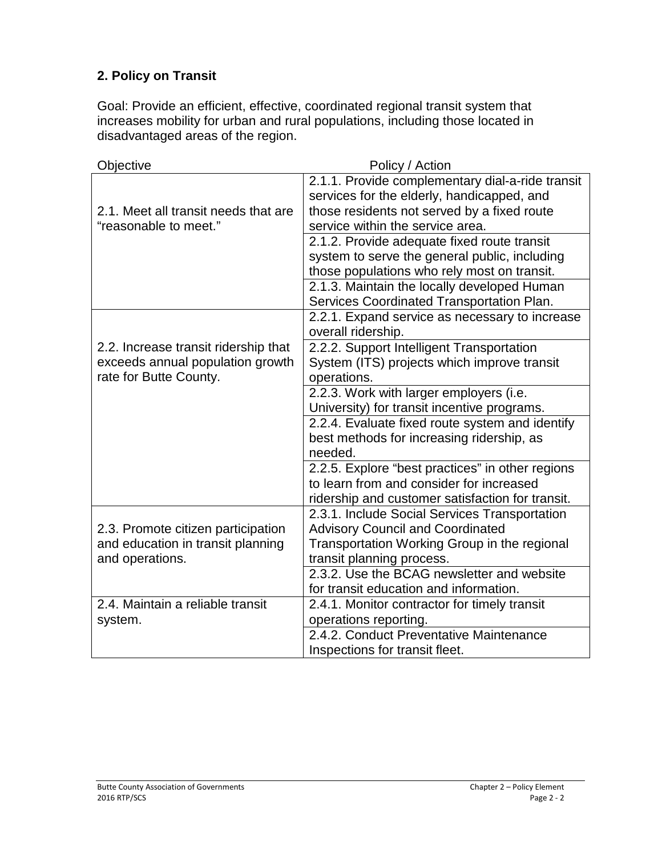# **2. Policy on Transit**

Goal: Provide an efficient, effective, coordinated regional transit system that increases mobility for urban and rural populations, including those located in disadvantaged areas of the region.

| <b>Objective</b>                     | Policy / Action                                                      |
|--------------------------------------|----------------------------------------------------------------------|
|                                      | 2.1.1. Provide complementary dial-a-ride transit                     |
|                                      | services for the elderly, handicapped, and                           |
| 2.1. Meet all transit needs that are | those residents not served by a fixed route                          |
| "reasonable to meet."                | service within the service area.                                     |
|                                      | 2.1.2. Provide adequate fixed route transit                          |
|                                      | system to serve the general public, including                        |
|                                      | those populations who rely most on transit.                          |
|                                      | 2.1.3. Maintain the locally developed Human                          |
|                                      | Services Coordinated Transportation Plan.                            |
|                                      | 2.2.1. Expand service as necessary to increase<br>overall ridership. |
| 2.2. Increase transit ridership that | 2.2.2. Support Intelligent Transportation                            |
| exceeds annual population growth     | System (ITS) projects which improve transit                          |
| rate for Butte County.               | operations.                                                          |
|                                      | 2.2.3. Work with larger employers (i.e.                              |
|                                      | University) for transit incentive programs.                          |
|                                      | 2.2.4. Evaluate fixed route system and identify                      |
|                                      | best methods for increasing ridership, as                            |
|                                      | needed.                                                              |
|                                      | 2.2.5. Explore "best practices" in other regions                     |
|                                      | to learn from and consider for increased                             |
|                                      | ridership and customer satisfaction for transit.                     |
|                                      | 2.3.1. Include Social Services Transportation                        |
| 2.3. Promote citizen participation   | <b>Advisory Council and Coordinated</b>                              |
| and education in transit planning    | Transportation Working Group in the regional                         |
| and operations.                      | transit planning process.                                            |
|                                      | 2.3.2. Use the BCAG newsletter and website                           |
|                                      | for transit education and information.                               |
| 2.4. Maintain a reliable transit     | 2.4.1. Monitor contractor for timely transit                         |
| system.                              | operations reporting.                                                |
|                                      | 2.4.2. Conduct Preventative Maintenance                              |
|                                      | Inspections for transit fleet.                                       |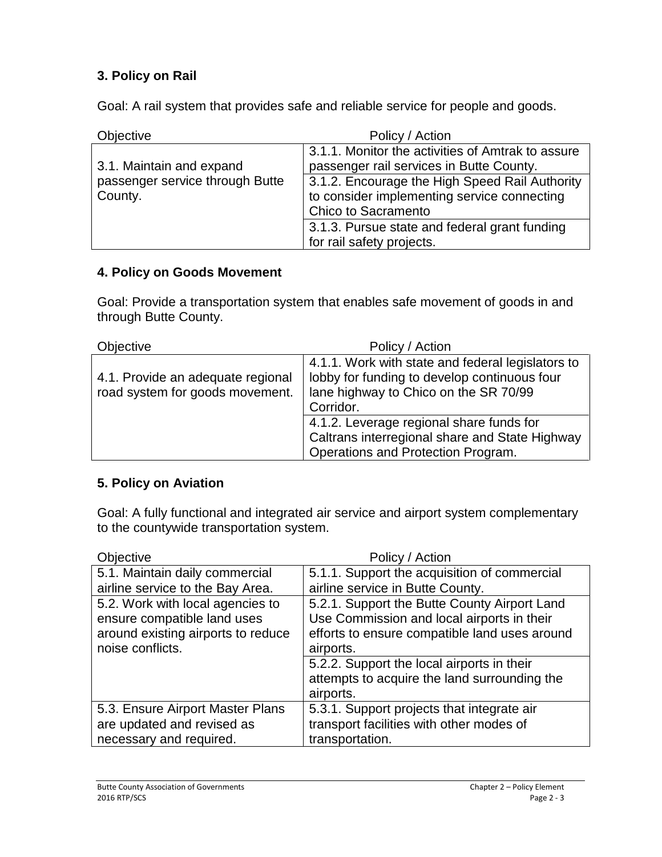## **3. Policy on Rail**

Goal: A rail system that provides safe and reliable service for people and goods.

| <b>Objective</b>                                                       | Policy / Action                                                                                                                                                                                                       |
|------------------------------------------------------------------------|-----------------------------------------------------------------------------------------------------------------------------------------------------------------------------------------------------------------------|
| 3.1. Maintain and expand<br>passenger service through Butte<br>County. | 3.1.1. Monitor the activities of Amtrak to assure<br>passenger rail services in Butte County.<br>3.1.2. Encourage the High Speed Rail Authority<br>to consider implementing service connecting<br>Chico to Sacramento |
|                                                                        | 3.1.3. Pursue state and federal grant funding<br>for rail safety projects.                                                                                                                                            |

### **4. Policy on Goods Movement**

Goal: Provide a transportation system that enables safe movement of goods in and through Butte County.

| Objective                                                            | Policy / Action                                                                                                                                         |
|----------------------------------------------------------------------|---------------------------------------------------------------------------------------------------------------------------------------------------------|
| 4.1. Provide an adequate regional<br>road system for goods movement. | 4.1.1. Work with state and federal legislators to<br>lobby for funding to develop continuous four<br>lane highway to Chico on the SR 70/99<br>Corridor. |
|                                                                      | 4.1.2. Leverage regional share funds for<br>Caltrans interregional share and State Highway<br>Operations and Protection Program.                        |

### **5. Policy on Aviation**

Goal: A fully functional and integrated air service and airport system complementary to the countywide transportation system.

| Objective                          | Policy / Action                               |
|------------------------------------|-----------------------------------------------|
| 5.1. Maintain daily commercial     | 5.1.1. Support the acquisition of commercial  |
| airline service to the Bay Area.   | airline service in Butte County.              |
| 5.2. Work with local agencies to   | 5.2.1. Support the Butte County Airport Land  |
| ensure compatible land uses        | Use Commission and local airports in their    |
| around existing airports to reduce | efforts to ensure compatible land uses around |
| noise conflicts.                   | airports.                                     |
|                                    | 5.2.2. Support the local airports in their    |
|                                    | attempts to acquire the land surrounding the  |
|                                    | airports.                                     |
| 5.3. Ensure Airport Master Plans   | 5.3.1. Support projects that integrate air    |
| are updated and revised as         | transport facilities with other modes of      |
| necessary and required.            | transportation.                               |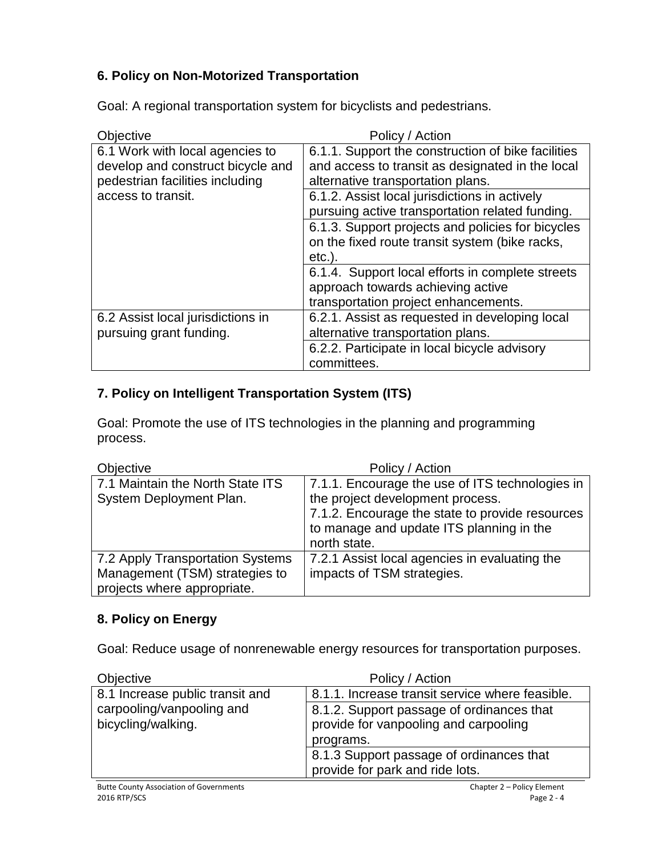## **6. Policy on Non-Motorized Transportation**

Objective **Policy** / Action 6.1 Work with local agencies to develop and construct bicycle and pedestrian facilities including access to transit. 6.1.1. Support the construction of bike facilities and access to transit as designated in the local alternative transportation plans. 6.1.2. Assist local jurisdictions in actively pursuing active transportation related funding. 6.1.3. Support projects and policies for bicycles on the fixed route transit system (bike racks, etc.). 6.1.4. Support local efforts in complete streets approach towards achieving active transportation project enhancements. 6.2 Assist local jurisdictions in pursuing grant funding. 6.2.1. Assist as requested in developing local alternative transportation plans. 6.2.2. Participate in local bicycle advisory committees.

Goal: A regional transportation system for bicyclists and pedestrians.

### **7. Policy on Intelligent Transportation System (ITS)**

Goal: Promote the use of ITS technologies in the planning and programming process.

| Objective                                                                                         | Policy / Action                                                                                                                                                                                    |
|---------------------------------------------------------------------------------------------------|----------------------------------------------------------------------------------------------------------------------------------------------------------------------------------------------------|
| 7.1 Maintain the North State ITS<br>System Deployment Plan.                                       | 7.1.1. Encourage the use of ITS technologies in<br>the project development process.<br>7.1.2. Encourage the state to provide resources<br>to manage and update ITS planning in the<br>north state. |
| 7.2 Apply Transportation Systems<br>Management (TSM) strategies to<br>projects where appropriate. | 7.2.1 Assist local agencies in evaluating the<br>impacts of TSM strategies.                                                                                                                        |

#### **8. Policy on Energy**

Goal: Reduce usage of nonrenewable energy resources for transportation purposes.

| <b>Objective</b>                                | Policy / Action                                                                                 |
|-------------------------------------------------|-------------------------------------------------------------------------------------------------|
| 8.1 Increase public transit and                 | 8.1.1. Increase transit service where feasible.                                                 |
| carpooling/vanpooling and<br>bicycling/walking. | 8.1.2. Support passage of ordinances that<br>provide for vanpooling and carpooling<br>programs. |
|                                                 | 8.1.3 Support passage of ordinances that<br>provide for park and ride lots.                     |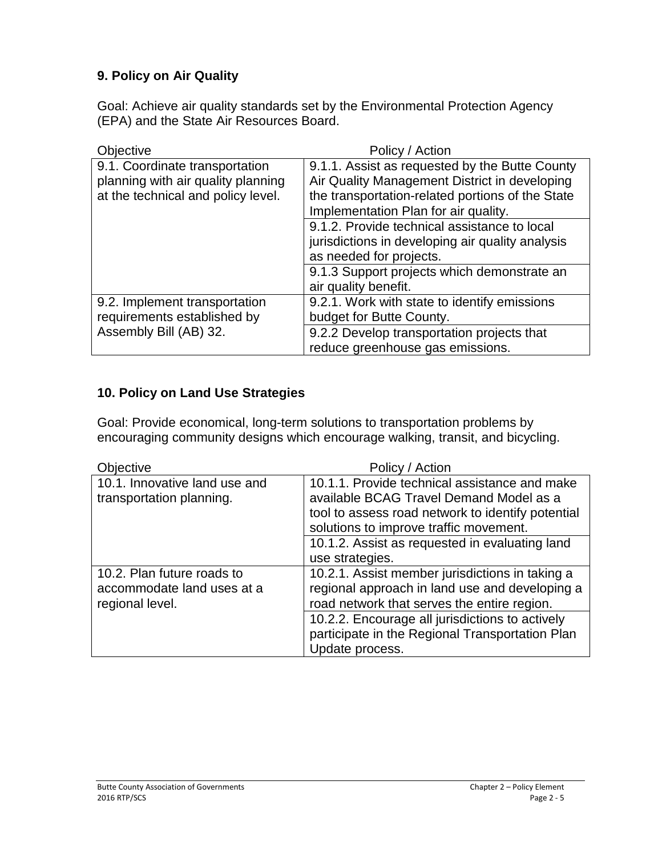## **9. Policy on Air Quality**

Goal: Achieve air quality standards set by the Environmental Protection Agency (EPA) and the State Air Resources Board.

| Objective                                             | Policy / Action                                  |
|-------------------------------------------------------|--------------------------------------------------|
| 9.1. Coordinate transportation                        | 9.1.1. Assist as requested by the Butte County   |
| planning with air quality planning                    | Air Quality Management District in developing    |
| at the technical and policy level.                    | the transportation-related portions of the State |
|                                                       | Implementation Plan for air quality.             |
|                                                       | 9.1.2. Provide technical assistance to local     |
|                                                       | jurisdictions in developing air quality analysis |
|                                                       | as needed for projects.                          |
|                                                       | 9.1.3 Support projects which demonstrate an      |
|                                                       | air quality benefit.                             |
| 9.2. Implement transportation                         | 9.2.1. Work with state to identify emissions     |
| requirements established by<br>Assembly Bill (AB) 32. | budget for Butte County.                         |
|                                                       | 9.2.2 Develop transportation projects that       |
|                                                       | reduce greenhouse gas emissions.                 |

### **10. Policy on Land Use Strategies**

Goal: Provide economical, long-term solutions to transportation problems by encouraging community designs which encourage walking, transit, and bicycling.

| <b>Objective</b>                                                            | Policy / Action                                                                                                                                                                                                                           |
|-----------------------------------------------------------------------------|-------------------------------------------------------------------------------------------------------------------------------------------------------------------------------------------------------------------------------------------|
| 10.1. Innovative land use and<br>transportation planning.                   | 10.1.1. Provide technical assistance and make<br>available BCAG Travel Demand Model as a<br>tool to assess road network to identify potential<br>solutions to improve traffic movement.<br>10.1.2. Assist as requested in evaluating land |
|                                                                             | use strategies.                                                                                                                                                                                                                           |
| 10.2. Plan future roads to<br>accommodate land uses at a<br>regional level. | 10.2.1. Assist member jurisdictions in taking a<br>regional approach in land use and developing a<br>road network that serves the entire region.                                                                                          |
|                                                                             | 10.2.2. Encourage all jurisdictions to actively<br>participate in the Regional Transportation Plan<br>Update process.                                                                                                                     |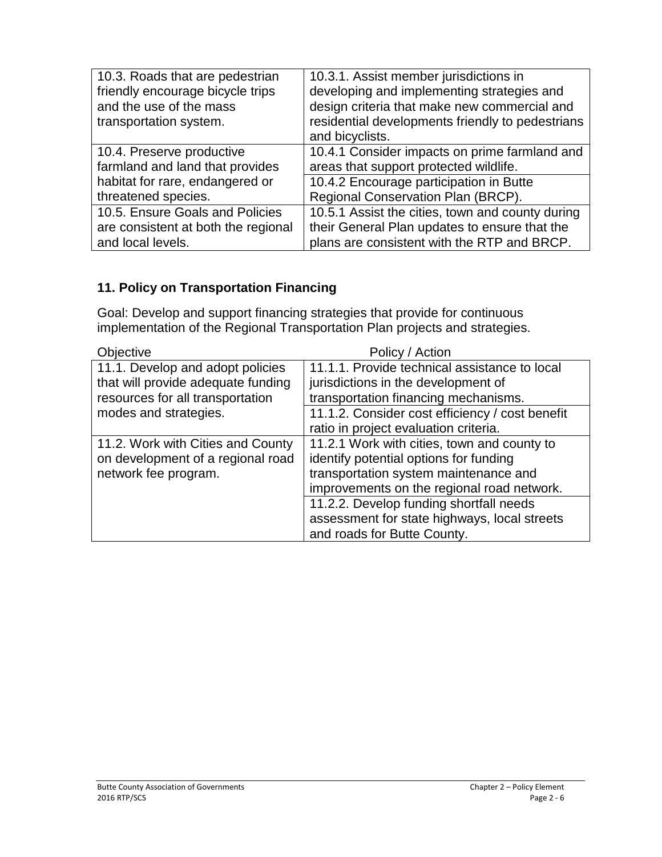| 10.3. Roads that are pedestrian<br>friendly encourage bicycle trips<br>and the use of the mass<br>transportation system. | 10.3.1. Assist member jurisdictions in<br>developing and implementing strategies and<br>design criteria that make new commercial and<br>residential developments friendly to pedestrians<br>and bicyclists. |
|--------------------------------------------------------------------------------------------------------------------------|-------------------------------------------------------------------------------------------------------------------------------------------------------------------------------------------------------------|
| 10.4. Preserve productive                                                                                                | 10.4.1 Consider impacts on prime farmland and                                                                                                                                                               |
| farmland and land that provides                                                                                          | areas that support protected wildlife.                                                                                                                                                                      |
| habitat for rare, endangered or                                                                                          | 10.4.2 Encourage participation in Butte                                                                                                                                                                     |
| threatened species.                                                                                                      | Regional Conservation Plan (BRCP).                                                                                                                                                                          |
| 10.5. Ensure Goals and Policies                                                                                          | 10.5.1 Assist the cities, town and county during                                                                                                                                                            |
| are consistent at both the regional                                                                                      | their General Plan updates to ensure that the                                                                                                                                                               |
| and local levels.                                                                                                        | plans are consistent with the RTP and BRCP.                                                                                                                                                                 |

# **11. Policy on Transportation Financing**

Goal: Develop and support financing strategies that provide for continuous implementation of the Regional Transportation Plan projects and strategies.

| <b>Objective</b>                   | Policy / Action                                 |
|------------------------------------|-------------------------------------------------|
| 11.1. Develop and adopt policies   | 11.1.1. Provide technical assistance to local   |
| that will provide adequate funding | jurisdictions in the development of             |
| resources for all transportation   | transportation financing mechanisms.            |
| modes and strategies.              | 11.1.2. Consider cost efficiency / cost benefit |
|                                    | ratio in project evaluation criteria.           |
| 11.2. Work with Cities and County  | 11.2.1 Work with cities, town and county to     |
| on development of a regional road  | identify potential options for funding          |
| network fee program.               | transportation system maintenance and           |
|                                    | improvements on the regional road network.      |
|                                    | 11.2.2. Develop funding shortfall needs         |
|                                    | assessment for state highways, local streets    |
|                                    | and roads for Butte County.                     |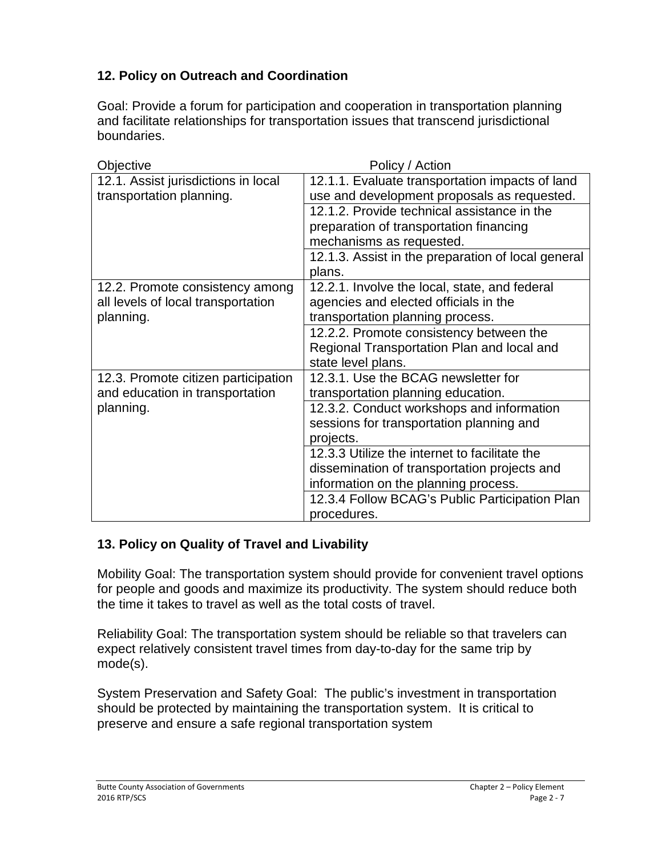# **12. Policy on Outreach and Coordination**

Goal: Provide a forum for participation and cooperation in transportation planning and facilitate relationships for transportation issues that transcend jurisdictional boundaries.

| Policy / Action                                               |
|---------------------------------------------------------------|
| 12.1.1. Evaluate transportation impacts of land               |
| use and development proposals as requested.                   |
| 12.1.2. Provide technical assistance in the                   |
| preparation of transportation financing                       |
| mechanisms as requested.                                      |
| 12.1.3. Assist in the preparation of local general            |
| plans.                                                        |
| 12.2.1. Involve the local, state, and federal                 |
| agencies and elected officials in the                         |
| transportation planning process.                              |
| 12.2.2. Promote consistency between the                       |
| Regional Transportation Plan and local and                    |
| state level plans.                                            |
| 12.3.1. Use the BCAG newsletter for                           |
| transportation planning education.                            |
| 12.3.2. Conduct workshops and information                     |
| sessions for transportation planning and                      |
| projects.                                                     |
| 12.3.3 Utilize the internet to facilitate the                 |
| dissemination of transportation projects and                  |
| information on the planning process.                          |
| 12.3.4 Follow BCAG's Public Participation Plan<br>procedures. |
|                                                               |

### **13. Policy on Quality of Travel and Livability**

Mobility Goal: The transportation system should provide for convenient travel options for people and goods and maximize its productivity. The system should reduce both the time it takes to travel as well as the total costs of travel.

Reliability Goal: The transportation system should be reliable so that travelers can expect relatively consistent travel times from day-to-day for the same trip by mode(s).

System Preservation and Safety Goal: The public's investment in transportation should be protected by maintaining the transportation system. It is critical to preserve and ensure a safe regional transportation system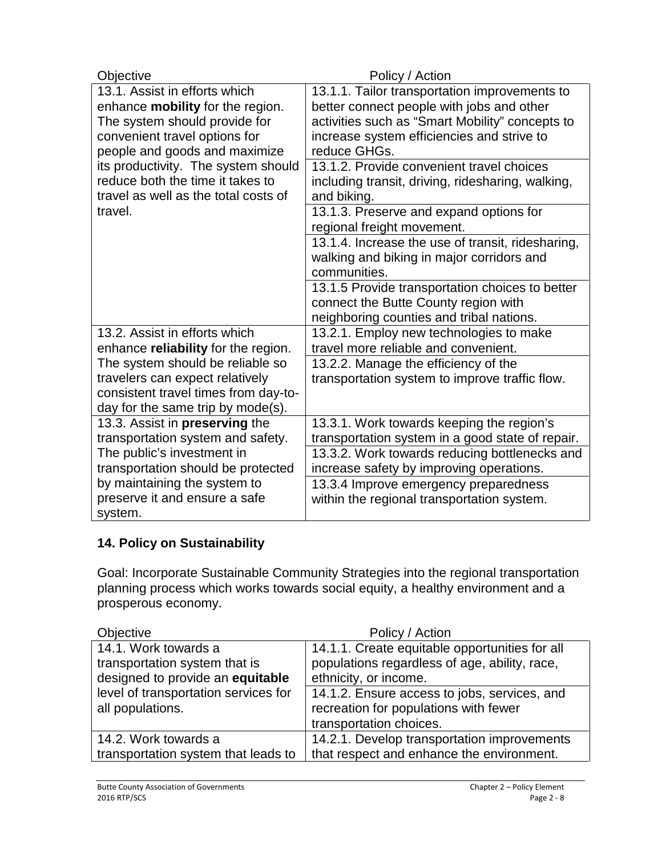| Objective                                                                | Policy / Action                                                                     |
|--------------------------------------------------------------------------|-------------------------------------------------------------------------------------|
| 13.1. Assist in efforts which                                            | 13.1.1. Tailor transportation improvements to                                       |
| enhance mobility for the region.                                         | better connect people with jobs and other                                           |
| The system should provide for                                            | activities such as "Smart Mobility" concepts to                                     |
| convenient travel options for                                            | increase system efficiencies and strive to                                          |
| people and goods and maximize                                            | reduce GHGs.                                                                        |
| its productivity. The system should                                      | 13.1.2. Provide convenient travel choices                                           |
| reduce both the time it takes to<br>travel as well as the total costs of | including transit, driving, ridesharing, walking,<br>and biking.                    |
| travel.                                                                  | 13.1.3. Preserve and expand options for                                             |
|                                                                          | regional freight movement.                                                          |
|                                                                          | 13.1.4. Increase the use of transit, ridesharing,                                   |
|                                                                          | walking and biking in major corridors and                                           |
|                                                                          | communities.                                                                        |
|                                                                          | 13.1.5 Provide transportation choices to better                                     |
|                                                                          | connect the Butte County region with                                                |
| 13.2. Assist in efforts which                                            | neighboring counties and tribal nations.<br>13.2.1. Employ new technologies to make |
| enhance reliability for the region.                                      | travel more reliable and convenient.                                                |
| The system should be reliable so                                         | 13.2.2. Manage the efficiency of the                                                |
| travelers can expect relatively                                          | transportation system to improve traffic flow.                                      |
| consistent travel times from day-to-                                     |                                                                                     |
| day for the same trip by mode(s).                                        |                                                                                     |
| 13.3. Assist in preserving the                                           | 13.3.1. Work towards keeping the region's                                           |
| transportation system and safety.                                        | transportation system in a good state of repair.                                    |
| The public's investment in                                               | 13.3.2. Work towards reducing bottlenecks and                                       |
| transportation should be protected                                       | increase safety by improving operations.                                            |
| by maintaining the system to                                             | 13.3.4 Improve emergency preparedness                                               |
| preserve it and ensure a safe                                            | within the regional transportation system.                                          |
| system.                                                                  |                                                                                     |

# **14. Policy on Sustainability**

Goal: Incorporate Sustainable Community Strategies into the regional transportation planning process which works towards social equity, a healthy environment and a prosperous economy.

| Objective                            | Policy / Action                                |
|--------------------------------------|------------------------------------------------|
| 14.1. Work towards a                 | 14.1.1. Create equitable opportunities for all |
| transportation system that is        | populations regardless of age, ability, race,  |
| designed to provide an equitable     | ethnicity, or income.                          |
| level of transportation services for | 14.1.2. Ensure access to jobs, services, and   |
| all populations.                     | recreation for populations with fewer          |
|                                      | transportation choices.                        |
| 14.2. Work towards a                 | 14.2.1. Develop transportation improvements    |
| transportation system that leads to  | that respect and enhance the environment.      |